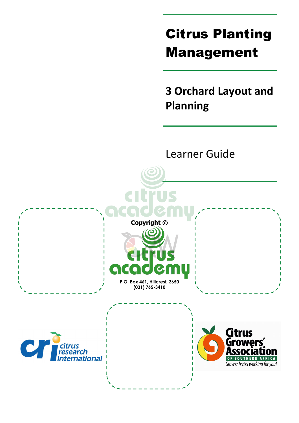# Citrus Planting Management

**3 Orchard Layout and Planning** 

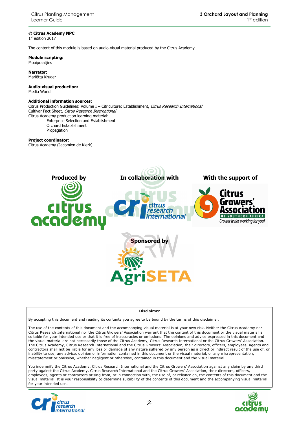#### **© Citrus Academy NPC**

1 st edition 2017

The content of this module is based on audio-visual material produced by the Citrus Academy.

**Module scripting:**  Mooipraatjies

**Narrator:**  Mariëtta Kruger

**Audio-visual production:**  Media World

#### **Additional information sources:**

Citrus Production Guidelines: Volume I - Citriculture: Establishment, Citrus Research International Cultivar Fact Sheet, Citrus Research International Citrus Academy production learning material: Enterprise Selection and Establishment Orchard Establishment

Propagation

#### **Project coordinator:**

Citrus Academy (Jacomien de Klerk)



#### **Disclaimer**

By accepting this document and reading its contents you agree to be bound by the terms of this disclaimer.

The use of the contents of this document and the accompanying visual material is at your own risk. Neither the Citrus Academy nor Citrus Research International nor the Citrus Growers' Association warrant that the content of this document or the visual material is suitable for your intended use or that it is free of inaccuracies or omissions. The opinions and advice expressed in this document and the visual material are not necessarily those of the Citrus Academy, Citrus Research International or the Citrus Growers' Association. The Citrus Academy, Citrus Research International and the Citrus Growers' Association, their directors, officers, employees, agents and contractors shall not be liable for any loss or damage of any nature suffered by any person as a direct or indirect result of the use of, or inability to use, any advice, opinion or information contained in this document or the visual material, or any misrepresentation, misstatement or omission, whether negligent or otherwise, contained in this document and the visual material.

You indemnify the Citrus Academy, Citrus Research International and the Citrus Growers' Association against any claim by any third party against the Citrus Academy, Citrus Research International and the Citrus Growers' Association, their directors, officers, employees, agents or contractors arising from, or in connection with, the use of, or reliance on, the contents of this document and the visual material. It is your responsibility to determine suitability of the contents of this document and the accompanying visual material for your intended use.



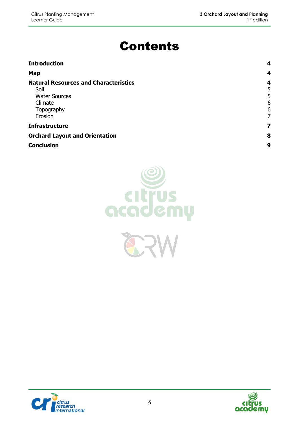# Contents

| <b>Introduction</b>                                                                                              | 4                          |
|------------------------------------------------------------------------------------------------------------------|----------------------------|
| Map                                                                                                              | 4                          |
| <b>Natural Resources and Characteristics</b><br>Soil<br><b>Water Sources</b><br>Climate<br>Topography<br>Erosion | 4<br>5<br>5<br>6<br>6<br>7 |
| <b>Infrastructure</b>                                                                                            | 7                          |
| <b>Orchard Layout and Orientation</b>                                                                            | 8                          |
| <b>Conclusion</b>                                                                                                | 9                          |





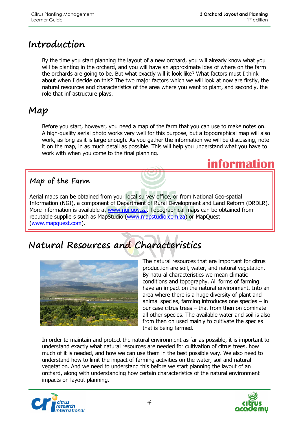# **Introduction**

By the time you start planning the layout of a new orchard, you will already know what you will be planting in the orchard, and you will have an approximate idea of where on the farm the orchards are going to be. But what exactly will it look like? What factors must I think about when I decide on this? The two major factors which we will look at now are firstly, the natural resources and characteristics of the area where you want to plant, and secondly, the role that infrastructure plays.

# **Map**

Before you start, however, you need a map of the farm that you can use to make notes on. A high-quality aerial photo works very well for this purpose, but a topographical map will also work, as long as it is large enough. As you gather the information we will be discussing, note it on the map, in as much detail as possible. This will help you understand what you have to work with when you come to the final planning.



### **Map of the Farm**

Aerial maps can be obtained from your local survey office, or from National Geo-spatial Information (NGI), a component of Department of Rural Development and Land Reform (DRDLR). More information is available at www.ngi.gov.za. Topographical maps can be obtained from reputable suppliers such as MapStudio (www.mapstudio.com.za) or MapQuest (www.mapquest.com).

# **Natural Resources and Characteristics**



The natural resources that are important for citrus production are soil, water, and natural vegetation. By natural characteristics we mean climatic conditions and topography. All forms of farming have an impact on the natural environment. Into an area where there is a huge diversity of plant and animal species, farming introduces one species – in our case citrus trees – that from then on dominate all other species. The available water and soil is also from then on used mainly to cultivate the species that is being farmed.

In order to maintain and protect the natural environment as far as possible, it is important to understand exactly what natural resources are needed for cultivation of citrus trees, how much of it is needed, and how we can use them in the best possible way. We also need to understand how to limit the impact of farming activities on the water, soil and natural vegetation. And we need to understand this before we start planning the layout of an orchard, along with understanding how certain characteristics of the natural environment impacts on layout planning.



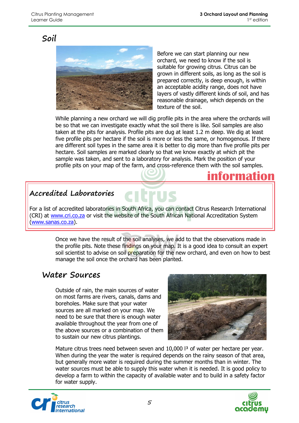### **Soil**



Before we can start planning our new orchard, we need to know if the soil is suitable for growing citrus. Citrus can be grown in different soils, as long as the soil is prepared correctly, is deep enough, is within an acceptable acidity range, does not have layers of vastly different kinds of soil, and has reasonable drainage, which depends on the texture of the soil.

While planning a new orchard we will dig profile pits in the area where the orchards will be so that we can investigate exactly what the soil there is like. Soil samples are also taken at the pits for analysis. Profile pits are dug at least 1.2 m deep. We dig at least five profile pits per hectare if the soil is more or less the same, or homogenous. If there are different soil types in the same area it is better to dig more than five profile pits per hectare. Soil samples are marked clearly so that we know exactly at which pit the sample was taken, and sent to a laboratory for analysis. Mark the position of your profile pits on your map of the farm, and cross-reference them with the soil samples.

# **information**

#### **Accredited Laboratories**

For a list of accredited laboratories in South Africa, you can contact Citrus Research International (CRI) at www.cri.co.za or visit the website of the South African National Accreditation System (www.sanas.co.za).

> Once we have the result of the soil analyses, we add to that the observations made in the profile pits. Note these findings on your map. It is a good idea to consult an expert soil scientist to advise on soil preparation for the new orchard, and even on how to best manage the soil once the orchard has been planted.

#### **Water Sources**

Outside of rain, the main sources of water on most farms are rivers, canals, dams and boreholes. Make sure that your water sources are all marked on your map. We need to be sure that there is enough water available throughout the year from one of the above sources or a combination of them to sustain our new citrus plantings.



Mature citrus trees need between seven and 10,000 l<sup>3</sup> of water per hectare per year. When during the year the water is required depends on the rainy season of that area, but generally more water is required during the summer months than in winter. The water sources must be able to supply this water when it is needed. It is good policy to develop a farm to within the capacity of available water and to build in a safety factor for water supply.



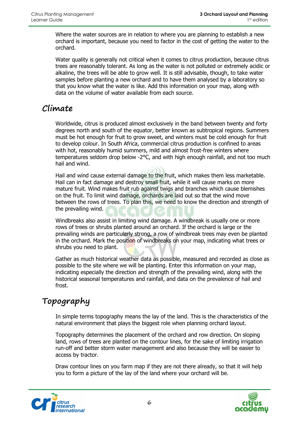Where the water sources are in relation to where you are planning to establish a new orchard is important, because you need to factor in the cost of getting the water to the orchard.

Water quality is generally not critical when it comes to citrus production, because citrus trees are reasonably tolerant. As long as the water is not polluted or extremely acidic or alkaline, the trees will be able to grow well. It is still advisable, though, to take water samples before planting a new orchard and to have them analysed by a laboratory so that you know what the water is like. Add this information on your map, along with data on the volume of water available from each source.

### **Climate**

Worldwide, citrus is produced almost exclusively in the band between twenty and forty degrees north and south of the equator, better known as subtropical regions. Summers must be hot enough for fruit to grow sweet, and winters must be cold enough for fruit to develop colour. In South Africa, commercial citrus production is confined to areas with hot, reasonably humid summers, mild and almost frost-free winters where temperatures seldom drop below -2°C, and with high enough rainfall, and not too much hail and wind.

Hail and wind cause external damage to the fruit, which makes them less marketable. Hail can in fact damage and destroy small fruit, while it will cause marks on more mature fruit. Wind makes fruit rub against twigs and branches which cause blemishes on the fruit. To limit wind damage, orchards are laid out so that the wind move between the rows of trees. To plan this, we need to know the direction and strength of the prevailing wind.

Windbreaks also assist in limiting wind damage. A windbreak is usually one or more rows of trees or shrubs planted around an orchard. If the orchard is large or the prevailing winds are particularly strong, a row of windbreak trees may even be planted in the orchard. Mark the position of windbreaks on your map, indicating what trees or shrubs you need to plant.

Gather as much historical weather data as possible, measured and recorded as close as possible to the site where we will be planting. Enter this information on your map, indicating especially the direction and strength of the prevailing wind, along with the historical seasonal temperatures and rainfall, and data on the prevalence of hail and frost.

# **Topography**

In simple terms topography means the lay of the land. This is the characteristics of the natural environment that plays the biggest role when planning orchard layout.

Topography determines the placement of the orchard and row direction. On sloping land, rows of trees are planted on the contour lines, for the sake of limiting irrigation run-off and better storm water management and also because they will be easier to access by tractor.

Draw contour lines on you farm map if they are not there already, so that it will help you to form a picture of the lay of the land where your orchard will be.



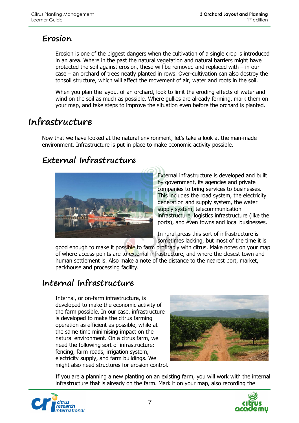### **Erosion**

Erosion is one of the biggest dangers when the cultivation of a single crop is introduced in an area. Where in the past the natural vegetation and natural barriers might have protected the soil against erosion, these will be removed and replaced with – in our case – an orchard of trees neatly planted in rows. Over-cultivation can also destroy the topsoil structure, which will affect the movement of air, water and roots in the soil.

When you plan the layout of an orchard, look to limit the eroding effects of water and wind on the soil as much as possible. Where gullies are already forming, mark them on your map, and take steps to improve the situation even before the orchard is planted.

# **Infrastructure**

Now that we have looked at the natural environment, let's take a look at the man-made environment. Infrastructure is put in place to make economic activity possible.

## **External Infrastructure**



External infrastructure is developed and built by government, its agencies and private companies to bring services to businesses. This includes the road system, the electricity generation and supply system, the water supply system, telecommunication infrastructure, logistics infrastructure (like the ports), and even towns and local businesses.

In rural areas this sort of infrastructure is sometimes lacking, but most of the time it is

good enough to make it possible to farm profitably with citrus. Make notes on your map of where access points are to external infrastructure, and where the closest town and human settlement is. Also make a note of the distance to the nearest port, market, packhouse and processing facility.

## **Internal Infrastructure**

Internal, or on-farm infrastructure, is developed to make the economic activity of the farm possible. In our case, infrastructure is developed to make the citrus farming operation as efficient as possible, while at the same time minimising impact on the natural environment. On a citrus farm, we need the following sort of infrastructure: fencing, farm roads, irrigation system, electricity supply, and farm buildings. We might also need structures for erosion control.



If you are a planning a new planting on an existing farm, you will work with the internal infrastructure that is already on the farm. Mark it on your map, also recording the



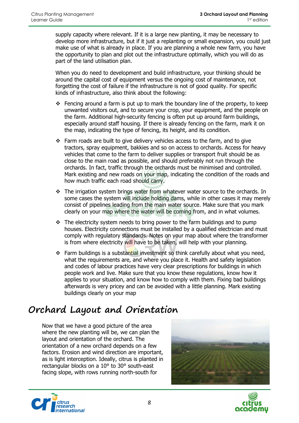supply capacity where relevant. If it is a large new planting, it may be necessary to develop more infrastructure, but if it just a replanting or small expansion, you could just make use of what is already in place. If you are planning a whole new farm, you have the opportunity to plan and plot out the infrastructure optimally, which you will do as part of the land utilisation plan.

When you do need to development and build infrastructure, your thinking should be around the capital cost of equipment versus the ongoing cost of maintenance, not forgetting the cost of failure if the infrastructure is not of good quality. For specific kinds of infrastructure, also think about the following:

- Fencing around a farm is put up to mark the boundary line of the property, to keep unwanted visitors out, and to secure your crop, your equipment, and the people on the farm. Additional high-security fencing is often put up around farm buildings, especially around staff housing. If there is already fencing on the farm, mark it on the map, indicating the type of fencing, its height, and its condition.
- Farm roads are built to give delivery vehicles access to the farm, and to give tractors, spray equipment, bakkies and so on access to orchards. Access for heavy vehicles that come to the farm to deliver supplies or transport fruit should be as close to the main road as possible, and should preferably not run through the orchards. In fact, traffic through the orchards must be minimised and controlled. Mark existing and new roads on your map, indicating the condition of the roads and how much traffic each road should carry.
- $\div$  The irrigation system brings water from whatever water source to the orchards. In some cases the system will include holding dams, while in other cases it may merely consist of pipelines leading from the main water source. Make sure that you mark clearly on your map where the water will be coming from, and in what volumes.
- $\cdot \cdot$  The electricity system needs to bring power to the farm buildings and to pump houses. Electricity connections must be installed by a qualified electrician and must comply with regulatory standards. Notes on your map about where the transformer is from where electricity will have to be taken, will help with your planning.
- $\div$  Farm buildings is a substantial investment so think carefully about what you need, what the requirements are, and where you place it. Health and safety legislation and codes of labour practices have very clear prescriptions for buildings in which people work and live. Make sure that you know these regulations, know how it applies to your situation, and know how to comply with them. Fixing bad buildings afterwards is very pricey and can be avoided with a little planning. Mark existing buildings clearly on your map

# **Orchard Layout and Orientation**

Now that we have a good picture of the area where the new planting will be, we can plan the layout and orientation of the orchard. The orientation of a new orchard depends on a few factors. Erosion and wind direction are important, as is light interception. Ideally, citrus is planted in rectangular blocks on a 10° to 30° south-east facing slope, with rows running north-south for